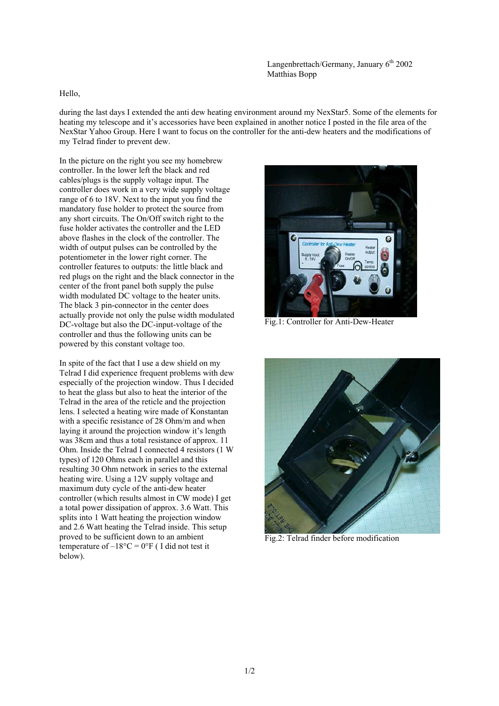Hello,

during the last days I extended the anti dew heating environment around my NexStar5. Some of the elements for heating my telescope and it's accessories have been explained in another notice I posted in the file area of the NexStar Yahoo Group. Here I want to focus on the controller for the anti-dew heaters and the modifications of my Telrad finder to prevent dew.

In the picture on the right you see my homebrew controller. In the lower left the black and red cables/plugs is the supply voltage input. The controller does work in a very wide supply voltage range of 6 to 18V. Next to the input you find the mandatory fuse holder to protect the source from any short circuits. The On/Off switch right to the fuse holder activates the controller and the LED above flashes in the clock of the controller. The width of output pulses can be controlled by the potentiometer in the lower right corner. The controller features to outputs: the little black and red plugs on the right and the black connector in the center of the front panel both supply the pulse width modulated DC voltage to the heater units. The black 3 pin-connector in the center does actually provide not only the pulse width modulated DC-voltage but also the DC-input-voltage of the controller and thus the following units can be powered by this constant voltage too.

In spite of the fact that I use a dew shield on my Telrad I did experience frequent problems with dew especially of the projection window. Thus I decided to heat the glass but also to heat the interior of the Telrad in the area of the reticle and the projection lens. I selected a heating wire made of Konstantan with a specific resistance of 28 Ohm/m and when laying it around the projection window it's length was 38cm and thus a total resistance of approx. 11 Ohm. Inside the Telrad I connected 4 resistors (1 W types) of 120 Ohms each in parallel and this resulting 30 Ohm network in series to the external heating wire. Using a 12V supply voltage and maximum duty cycle of the anti-dew heater controller (which results almost in CW mode) I get a total power dissipation of approx. 3.6 Watt. This splits into 1 Watt heating the projection window and 2.6 Watt heating the Telrad inside. This setup proved to be sufficient down to an ambient temperature of  $-18^{\circ}$ C = 0°F (I did not test it below).



Fig.1: Controller for Anti-Dew-Heater



Fig.2: Telrad finder before modification